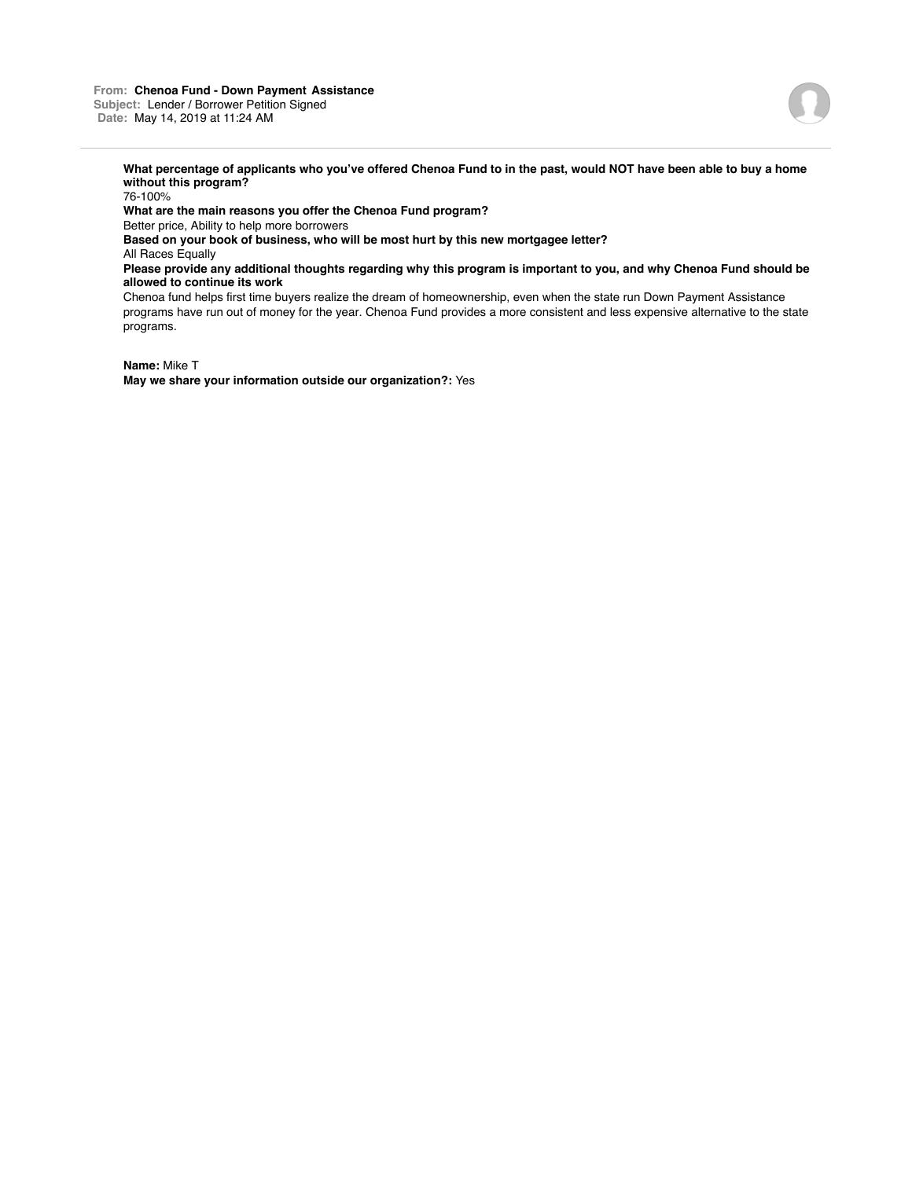## **From: Chenoa Fund - Down Payment Assistance Subject:** Lender / Borrower Petition Signed **Date:** May 14, 2019 at 11:24 AM



**What percentage of applicants who you've offered Chenoa Fund to in the past, would NOT have been able to buy a home without this program?**

76-100%

**What are the main reasons you offer the Chenoa Fund program?**

Better price, Ability to help more borrowers

**Based on your book of business, who will be most hurt by this new mortgagee letter?**

All Races Equally

**Please provide any additional thoughts regarding why this program is important to you, and why Chenoa Fund should be allowed to continue its work**

Chenoa fund helps first time buyers realize the dream of homeownership, even when the state run Down Payment Assistance programs have run out of money for the year. Chenoa Fund provides a more consistent and less expensive alternative to the state programs.

**Name:** Mike T

**May we share your information outside our organization?:** Yes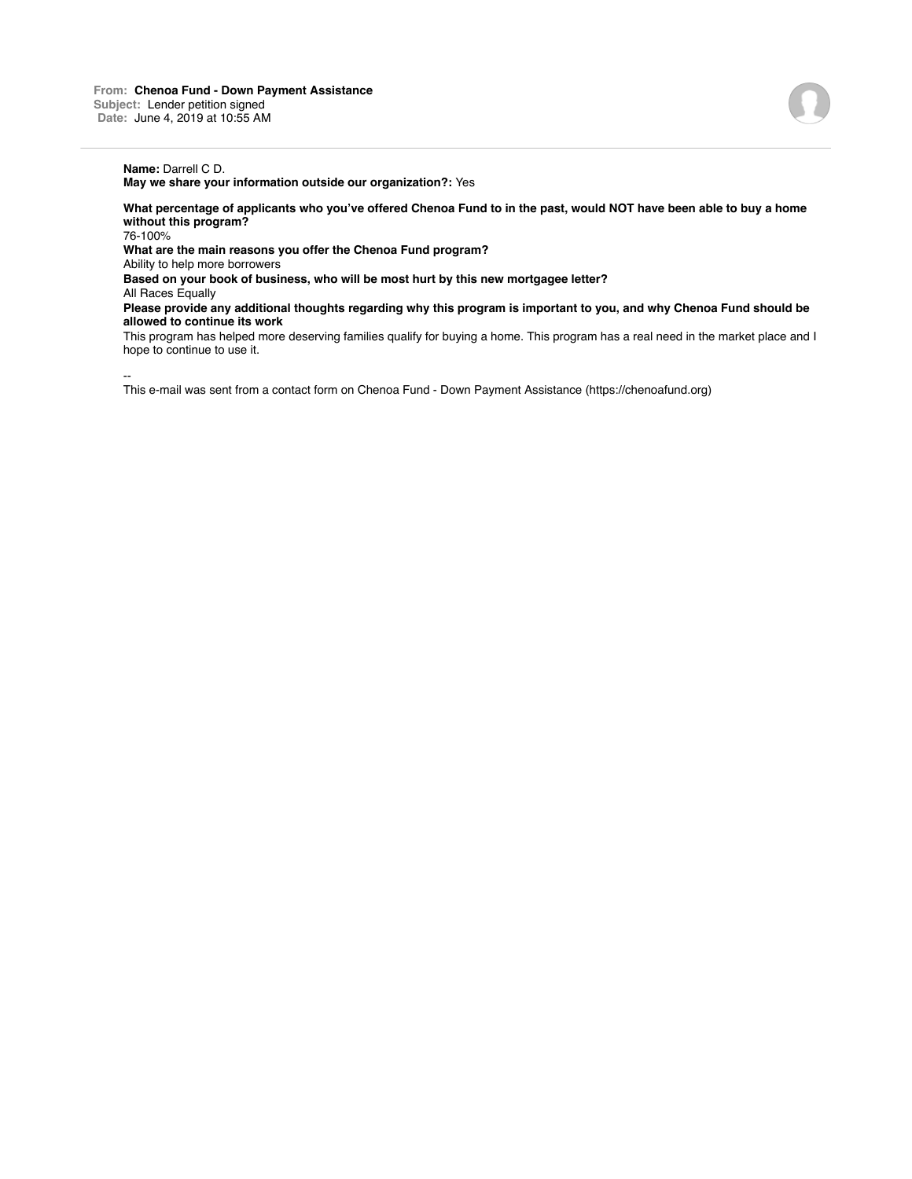**May we share your information outside our organization?:** Yes

**What percentage of applicants who you've offered Chenoa Fund to in the past, would NOT have been able to buy a home without this program?**

76-100%

**What are the main reasons you offer the Chenoa Fund program?**

Ability to help more borrowers

**Based on your book of business, who will be most hurt by this new mortgagee letter?**

All Races Equally

**Please provide any additional thoughts regarding why this program is important to you, and why Chenoa Fund should be allowed to continue its work**

This program has helped more deserving families qualify for buying a home. This program has a real need in the market place and I hope to continue to use it.

--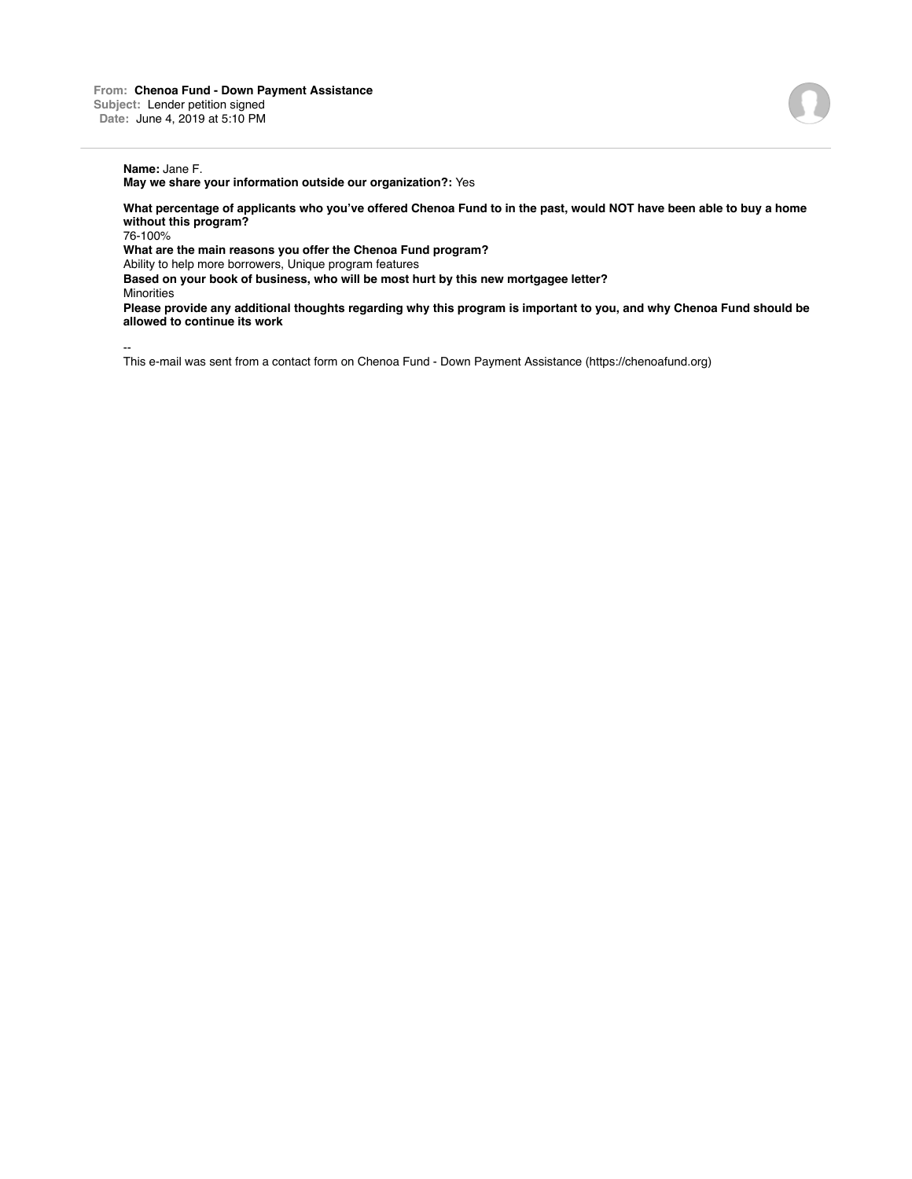**May we share your information outside our organization?:** Yes

**What percentage of applicants who you've offered Chenoa Fund to in the past, would NOT have been able to buy a home without this program?**

76-100%

**What are the main reasons you offer the Chenoa Fund program?**

Ability to help more borrowers, Unique program features

**Based on your book of business, who will be most hurt by this new mortgagee letter?**

**Minorities** 

**Please provide any additional thoughts regarding why this program is important to you, and why Chenoa Fund should be allowed to continue its work**

--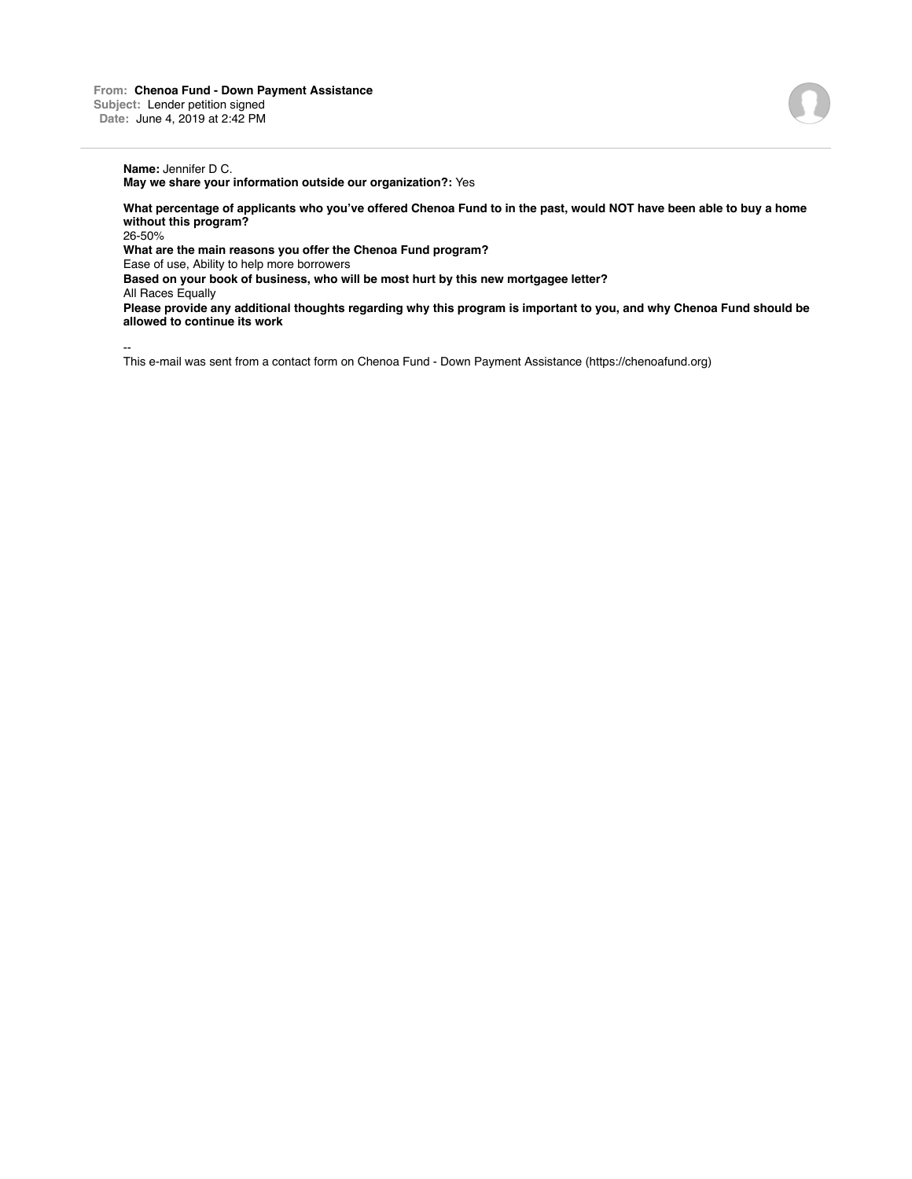## **Name:** Jennifer D C.

**May we share your information outside our organization?:** Yes

**What percentage of applicants who you've offered Chenoa Fund to in the past, would NOT have been able to buy a home without this program?**

26-50%

**What are the main reasons you offer the Chenoa Fund program?**

Ease of use, Ability to help more borrowers

**Based on your book of business, who will be most hurt by this new mortgagee letter?**

All Races Equally

**Please provide any additional thoughts regarding why this program is important to you, and why Chenoa Fund should be allowed to continue its work**

--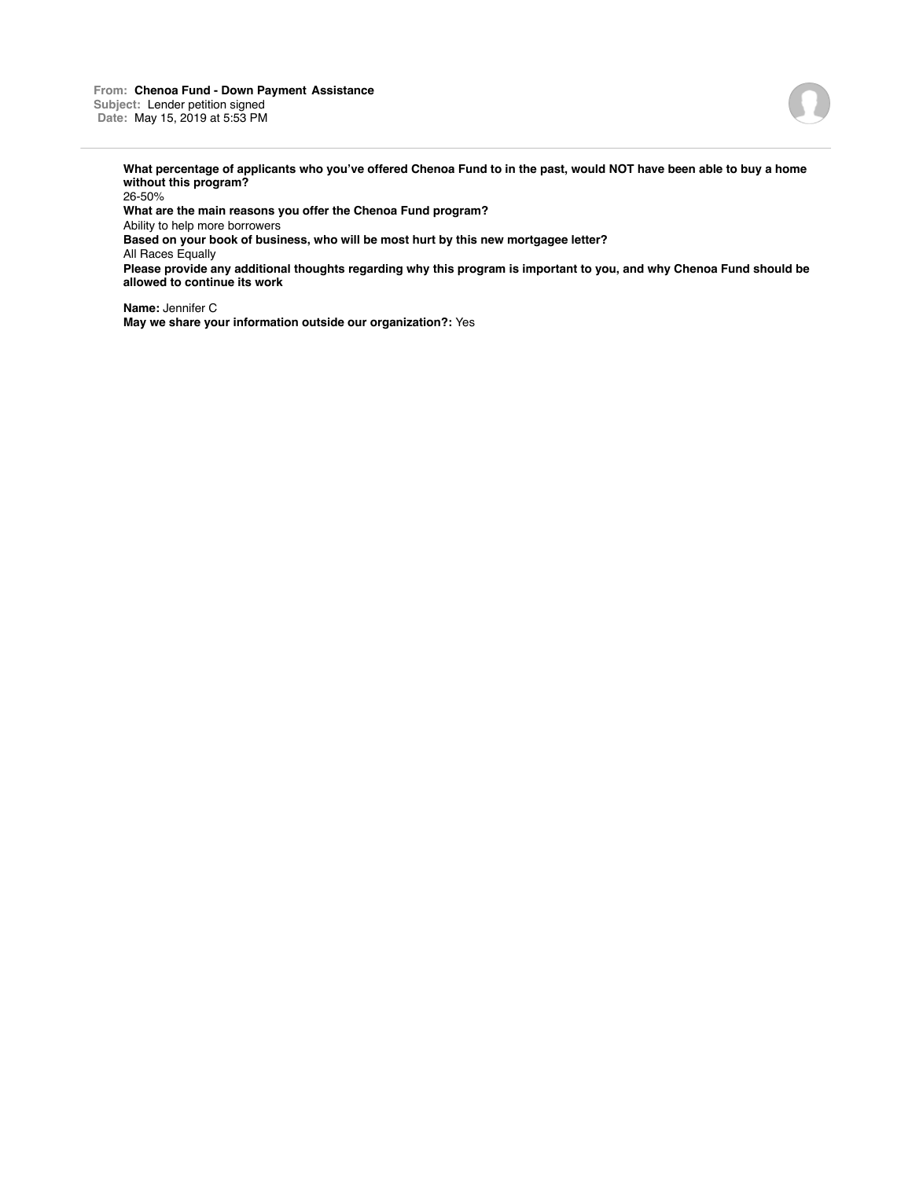**From: Chenoa Fund - Down Payment Assistance Subject:** Lender petition signed **Date:** May 15, 2019 at 5:53 PM



**What percentage of applicants who you've offered Chenoa Fund to in the past, would NOT have been able to buy a home without this program?**

26-50% **What are the main reasons you offer the Chenoa Fund program?** Ability to help more borrowers **Based on your book of business, who will be most hurt by this new mortgagee letter?** All Races Equally **Please provide any additional thoughts regarding why this program is important to you, and why Chenoa Fund should be allowed to continue its work**

**Name:** Jennifer C **May we share your information outside our organization?:** Yes